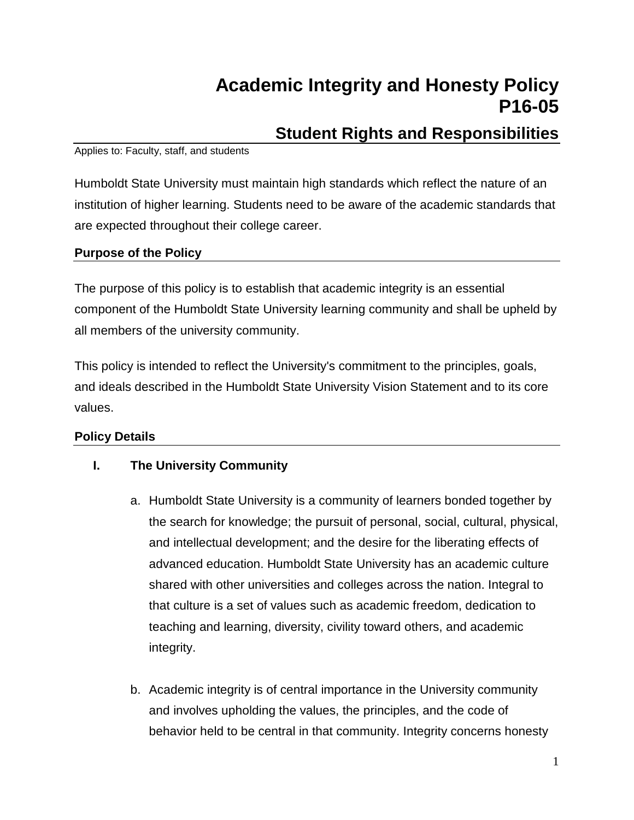# **Academic Integrity and Honesty Policy P16-05**

# **Student Rights and Responsibilities**

#### Applies to: Faculty, staff, and students

Humboldt State University must maintain high standards which reflect the nature of an institution of higher learning. Students need to be aware of the academic standards that are expected throughout their college career.

# **Purpose of the Policy**

The purpose of this policy is to establish that academic integrity is an essential component of the Humboldt State University learning community and shall be upheld by all members of the university community.

This policy is intended to reflect the University's commitment to the principles, goals, and ideals described in the Humboldt State University Vision Statement and to its core values.

# **Policy Details**

# **I. The University Community**

- a. Humboldt State University is a community of learners bonded together by the search for knowledge; the pursuit of personal, social, cultural, physical, and intellectual development; and the desire for the liberating effects of advanced education. Humboldt State University has an academic culture shared with other universities and colleges across the nation. Integral to that culture is a set of values such as academic freedom, dedication to teaching and learning, diversity, civility toward others, and academic integrity.
- b. Academic integrity is of central importance in the University community and involves upholding the values, the principles, and the code of behavior held to be central in that community. Integrity concerns honesty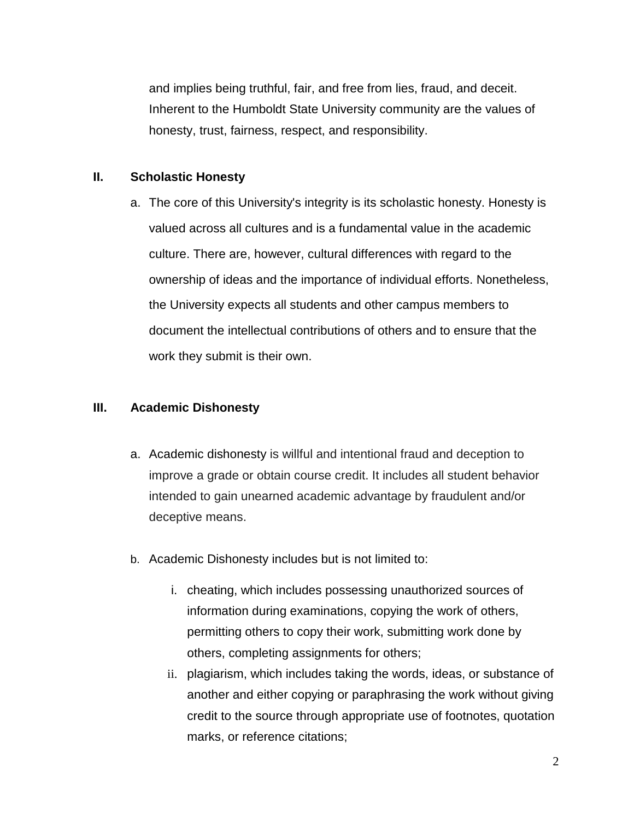and implies being truthful, fair, and free from lies, fraud, and deceit. Inherent to the Humboldt State University community are the values of honesty, trust, fairness, respect, and responsibility.

#### **II. Scholastic Honesty**

a. The core of this University's integrity is its scholastic honesty. Honesty is valued across all cultures and is a fundamental value in the academic culture. There are, however, cultural differences with regard to the ownership of ideas and the importance of individual efforts. Nonetheless, the University expects all students and other campus members to document the intellectual contributions of others and to ensure that the work they submit is their own.

#### **III. Academic Dishonesty**

- a. Academic dishonesty is willful and intentional fraud and deception to improve a grade or obtain course credit. It includes all student behavior intended to gain unearned academic advantage by fraudulent and/or deceptive means.
- b. Academic Dishonesty includes but is not limited to:
	- i. cheating, which includes possessing unauthorized sources of information during examinations, copying the work of others, permitting others to copy their work, submitting work done by others, completing assignments for others;
	- ii. plagiarism, which includes taking the words, ideas, or substance of another and either copying or paraphrasing the work without giving credit to the source through appropriate use of footnotes, quotation marks, or reference citations;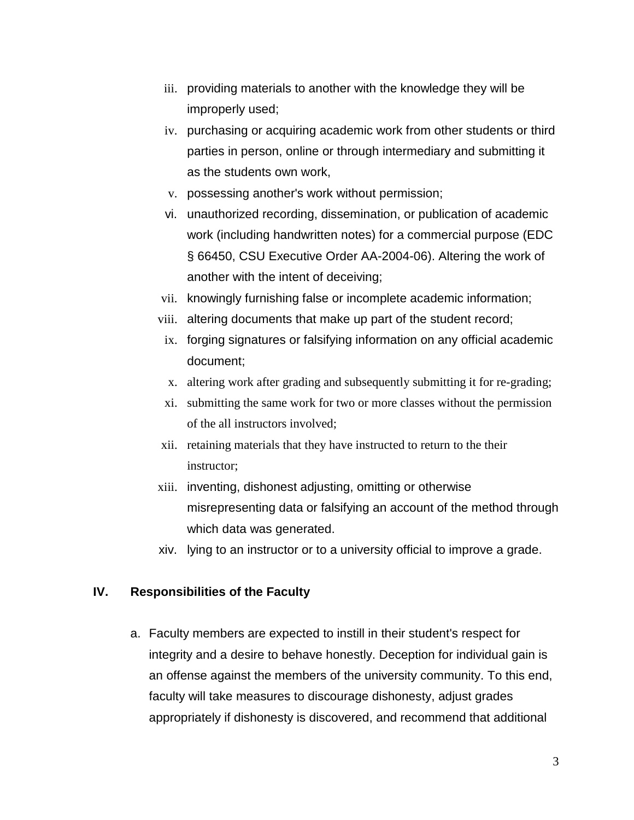- iii. providing materials to another with the knowledge they will be improperly used;
- iv. purchasing or acquiring academic work from other students or third parties in person, online or through intermediary and submitting it as the students own work,
- v. possessing another's work without permission;
- vi. unauthorized recording, dissemination, or publication of academic work (including handwritten notes) for a commercial purpose (EDC § 66450, CSU Executive Order AA-2004-06). Altering the work of another with the intent of deceiving;
- vii. knowingly furnishing false or incomplete academic information;
- viii. altering documents that make up part of the student record;
- ix. forging signatures or falsifying information on any official academic document;
- x. altering work after grading and subsequently submitting it for re-grading;
- xi. submitting the same work for two or more classes without the permission of the all instructors involved;
- xii. retaining materials that they have instructed to return to the their instructor;
- xiii. inventing, dishonest adjusting, omitting or otherwise misrepresenting data or falsifying an account of the method through which data was generated.
- xiv. lying to an instructor or to a university official to improve a grade.

#### **IV. Responsibilities of the Faculty**

a. Faculty members are expected to instill in their student's respect for integrity and a desire to behave honestly. Deception for individual gain is an offense against the members of the university community. To this end, faculty will take measures to discourage dishonesty, adjust grades appropriately if dishonesty is discovered, and recommend that additional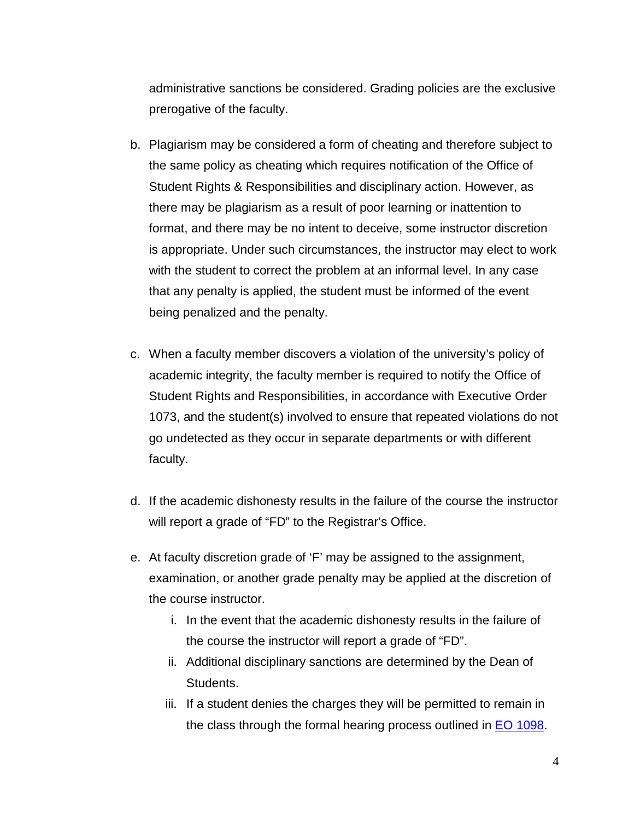administrative sanctions be considered. Grading policies are the exclusive prerogative of the faculty.

- b. Plagiarism may be considered a form of cheating and therefore subject to the same policy as cheating which requires notification of the Office of Student Rights & Responsibilities and disciplinary action. However, as there may be plagiarism as a result of poor learning or inattention to format, and there may be no intent to deceive, some instructor discretion is appropriate. Under such circumstances, the instructor may elect to work with the student to correct the problem at an informal level. In any case that any penalty is applied, the student must be informed of the event being penalized and the penalty.
- c. When a faculty member discovers a violation of the university's policy of academic integrity, the faculty member is required to notify the Office of Student Rights and Responsibilities, in accordance with Executive Order 1073, and the student(s) involved to ensure that repeated violations do not go undetected as they occur in separate departments or with different faculty.
- d. If the academic dishonesty results in the failure of the course the instructor will report a grade of "FD" to the Registrar's Office.
- e. At faculty discretion grade of 'F' may be assigned to the assignment, examination, or another grade penalty may be applied at the discretion of the course instructor.
	- i. In the event that the academic dishonesty results in the failure of the course the instructor will report a grade of "FD".
	- ii. Additional disciplinary sanctions are determined by the Dean of Students.
	- iii. If a student denies the charges they will be permitted to remain in the class through the formal hearing process outlined in [EO 1098.](http://www.calstate.edu/eo/EO-1098-rev-6-23-15.pdf)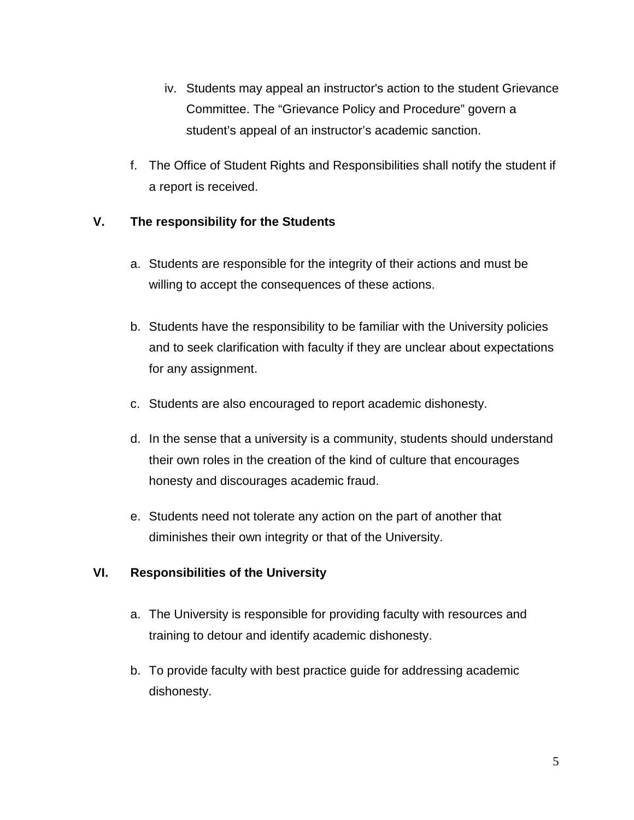- iv. Students may appeal an instructor's action to the student Grievance Committee. The "Grievance Policy and Procedure" govern a student's appeal of an instructor's academic sanction.
- f. The Office of Student Rights and Responsibilities shall notify the student if a report is received.

# **V. The responsibility for the Students**

- a. Students are responsible for the integrity of their actions and must be willing to accept the consequences of these actions.
- b. Students have the responsibility to be familiar with the University policies and to seek clarification with faculty if they are unclear about expectations for any assignment.
- c. Students are also encouraged to report academic dishonesty.
- d. In the sense that a university is a community, students should understand their own roles in the creation of the kind of culture that encourages honesty and discourages academic fraud.
- e. Students need not tolerate any action on the part of another that diminishes their own integrity or that of the University.

# **VI. Responsibilities of the University**

- a. The University is responsible for providing faculty with resources and training to detour and identify academic dishonesty.
- b. To provide faculty with best practice guide for addressing academic dishonesty.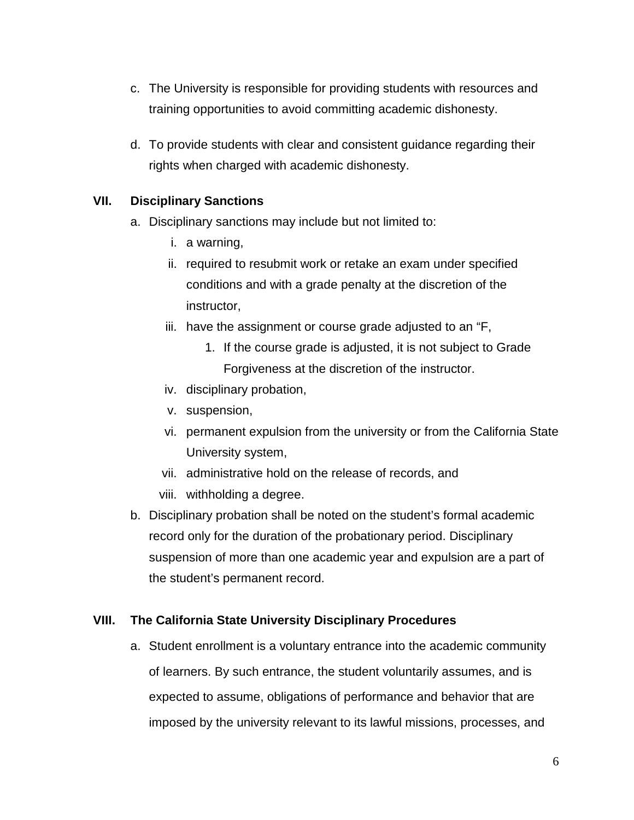- c. The University is responsible for providing students with resources and training opportunities to avoid committing academic dishonesty.
- d. To provide students with clear and consistent guidance regarding their rights when charged with academic dishonesty.

#### **VII. Disciplinary Sanctions**

- a. Disciplinary sanctions may include but not limited to:
	- i. a warning,
	- ii. required to resubmit work or retake an exam under specified conditions and with a grade penalty at the discretion of the instructor,
	- iii. have the assignment or course grade adjusted to an "F,
		- 1. If the course grade is adjusted, it is not subject to Grade Forgiveness at the discretion of the instructor.
	- iv. disciplinary probation,
	- v. suspension,
	- vi. permanent expulsion from the university or from the California State University system,
	- vii. administrative hold on the release of records, and
	- viii. withholding a degree.
- b. Disciplinary probation shall be noted on the student's formal academic record only for the duration of the probationary period. Disciplinary suspension of more than one academic year and expulsion are a part of the student's permanent record.

#### **VIII. The California State University Disciplinary Procedures**

a. Student enrollment is a voluntary entrance into the academic community of learners. By such entrance, the student voluntarily assumes, and is expected to assume, obligations of performance and behavior that are imposed by the university relevant to its lawful missions, processes, and